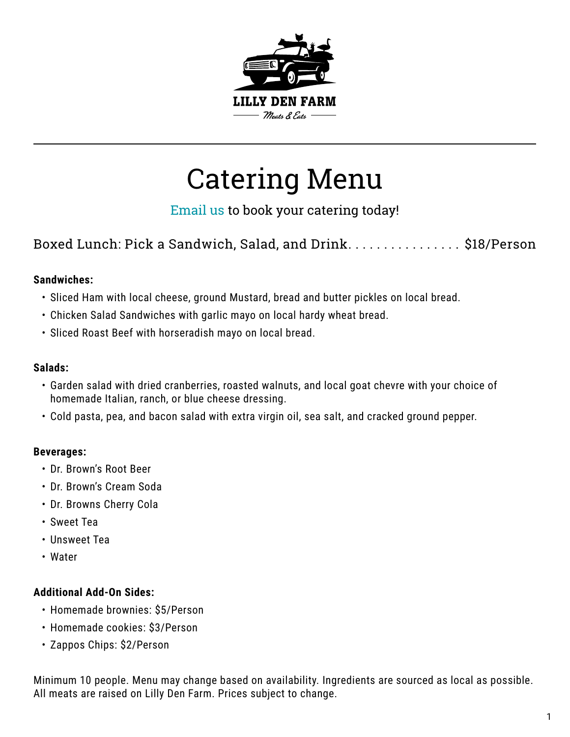

# Catering Menu

[Email us](https://lillydenfarm.com/contact/) to book your catering today!

Boxed Lunch: Pick a Sandwich, Salad, and Drink...................\$18/Person

#### **Sandwiches:**

- Sliced Ham with local cheese, ground Mustard, bread and butter pickles on local bread.
- Chicken Salad Sandwiches with garlic mayo on local hardy wheat bread.
- Sliced Roast Beef with horseradish mayo on local bread.

#### **Salads:**

- Garden salad with dried cranberries, roasted walnuts, and local goat chevre with your choice of homemade Italian, ranch, or blue cheese dressing.
- Cold pasta, pea, and bacon salad with extra virgin oil, sea salt, and cracked ground pepper.

#### **Beverages:**

- Dr. Brown's Root Beer
- Dr. Brown's Cream Soda
- Dr. Browns Cherry Cola
- Sweet Tea
- Unsweet Tea
- Water

#### **Additional Add-On Sides:**

- Homemade brownies: \$5/Person
- Homemade cookies: \$3/Person
- Zappos Chips: \$2/Person

Minimum 10 people. Menu may change based on availability. Ingredients are sourced as local as possible. All meats are raised on Lilly Den Farm. Prices subject to change.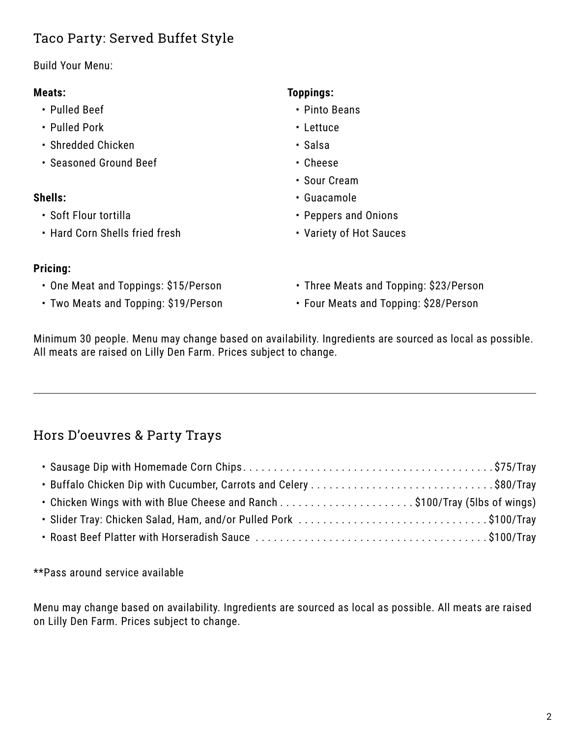# Taco Party: Served Buffet Style

#### Build Your Menu:

#### **Meats:**

- Pulled Beef
- Pulled Pork
- Shredded Chicken
- Seasoned Ground Beef

#### **Shells:**

- Soft Flour tortilla
- Hard Corn Shells fried fresh

## **Toppings:**

- Pinto Beans
- Lettuce
- Salsa
- Cheese
- Sour Cream
- Guacamole
- Peppers and Onions
- Variety of Hot Sauces

## **Pricing:**

- One Meat and Toppings: \$15/Person
- Two Meats and Topping: \$19/Person
- Three Meats and Topping: \$23/Person
- Four Meats and Topping: \$28/Person

Minimum 30 people. Menu may change based on availability. Ingredients are sourced as local as possible. All meats are raised on Lilly Den Farm. Prices subject to change.

# Hors D'oeuvres & Party Trays

| • Buffalo Chicken Dip with Cucumber, Carrots and Celery \$80/Tray |  |
|-------------------------------------------------------------------|--|
|                                                                   |  |
| • Slider Tray: Chicken Salad, Ham, and/or Pulled Pork \$100/Tray  |  |
|                                                                   |  |

\*\*Pass around service available

Menu may change based on availability. Ingredients are sourced as local as possible. All meats are raised on Lilly Den Farm. Prices subject to change.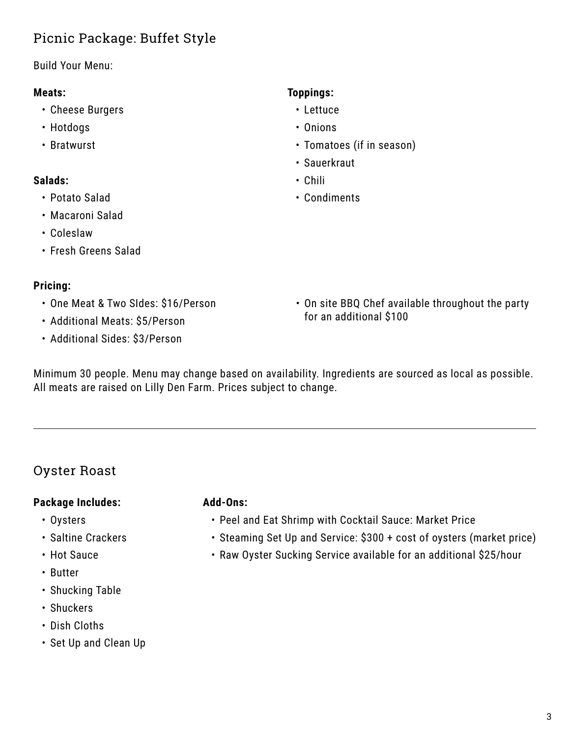# Picnic Package: Buffet Style

Build Your Menu:

## **Meats:**

- Cheese Burgers
- Hotdogs
- Bratwurst

# **Salads:**

- Potato Salad
- Macaroni Salad
- Coleslaw
- Fresh Greens Salad

# **Pricing:**

- One Meat & Two SIdes: \$16/Person
- Additional Meats: \$5/Person
- Additional Sides: \$3/Person

# **Toppings:**

- Lettuce
- Onions
- Tomatoes (if in season)
- Sauerkraut
- Chili
- Condiments

• On site BBQ Chef available throughout the party for an additional \$100

Minimum 30 people. Menu may change based on availability. Ingredients are sourced as local as possible. All meats are raised on Lilly Den Farm. Prices subject to change.

# Oyster Roast

# **Package Includes:**

- Oysters
- Saltine Crackers
- Hot Sauce
- Butter
- Shucking Table
- Shuckers
- Dish Cloths
- Set Up and Clean Up

### **Add-Ons:**

- Peel and Eat Shrimp with Cocktail Sauce: Market Price
- Steaming Set Up and Service: \$300 + cost of oysters (market price)
- Raw Oyster Sucking Service available for an additional \$25/hour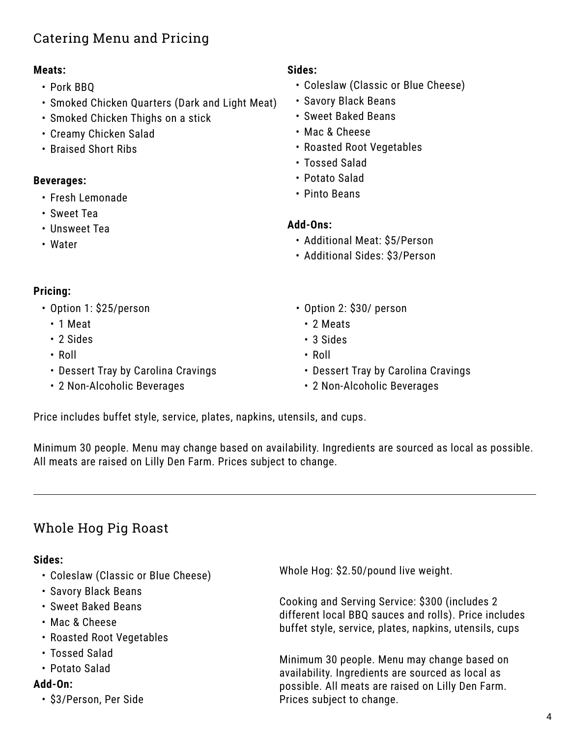# Catering Menu and Pricing

## **Meats:**

- Pork BBQ
- Smoked Chicken Quarters (Dark and Light Meat)
- Smoked Chicken Thighs on a stick
- Creamy Chicken Salad
- Braised Short Ribs

# **Beverages:**

- Fresh Lemonade
- Sweet Tea
- Unsweet Tea
- Water

## **Sides:**

- Coleslaw (Classic or Blue Cheese)
- Savory Black Beans
- Sweet Baked Beans
- Mac & Cheese
- Roasted Root Vegetables
- Tossed Salad
- Potato Salad
- Pinto Beans

### **Add-Ons:**

- Additional Meat: \$5/Person
- Additional Sides: \$3/Person

## **Pricing:**

- Option 1: \$25/person
	- 1 Meat
	- 2 Sides
	- Roll
	- Dessert Tray by Carolina Cravings
	- 2 Non-Alcoholic Beverages
- Option 2: \$30/ person
	- 2 Meats
	- 3 Sides
	- Roll
	- Dessert Tray by Carolina Cravings
	- 2 Non-Alcoholic Beverages

Price includes buffet style, service, plates, napkins, utensils, and cups.

Minimum 30 people. Menu may change based on availability. Ingredients are sourced as local as possible. All meats are raised on Lilly Den Farm. Prices subject to change.

# Whole Hog Pig Roast

### **Sides:**

- Coleslaw (Classic or Blue Cheese)
- Savory Black Beans
- Sweet Baked Beans
- Mac & Cheese
- Roasted Root Vegetables
- Tossed Salad
- Potato Salad

### **Add-On:**

• \$3/Person, Per Side

Whole Hog: \$2.50/pound live weight.

Cooking and Serving Service: \$300 (includes 2 different local BBQ sauces and rolls). Price includes buffet style, service, plates, napkins, utensils, cups

Minimum 30 people. Menu may change based on availability. Ingredients are sourced as local as possible. All meats are raised on Lilly Den Farm. Prices subject to change.